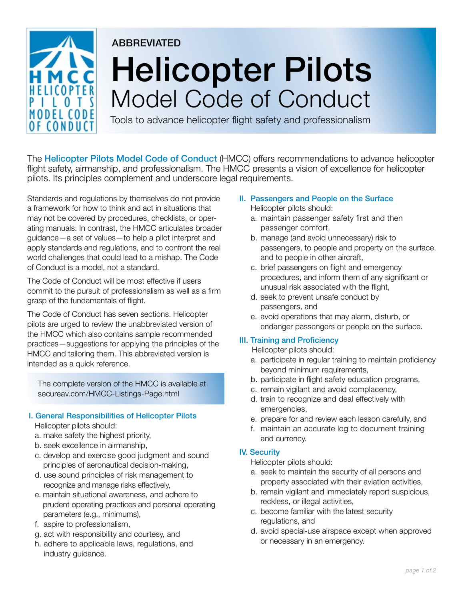

# **ABBREVIATED** Helicopter Pilots Model Code of Conduct

Tools to advance helicopter flight safety and professionalism

The **Helicopter Pilots Model Code of Conduct** (HMCC) offers recommendations to advance helicopter flight safety, airmanship, and professionalism. The HMCC presents a vision of excellence for helicopter pilots. Its principles complement and underscore legal requirements.

Standards and regulations by themselves do not provide a framework for how to think and act in situations that may not be covered by procedures, checklists, or operating manuals. In contrast, the HMCC articulates broader guidance—a set of values—to help a pilot interpret and apply standards and regulations, and to confront the real world challenges that could lead to a mishap. The Code of Conduct is a model, not a standard.

The Code of Conduct will be most effective if users commit to the pursuit of professionalism as well as a firm grasp of the fundamentals of flight.

The Code of Conduct has seven sections. Helicopter pilots are urged to review the unabbreviated version of the HMCC which also contains sample recommended practices—suggestions for applying the principles of the HMCC and tailoring them. This abbreviated version is intended as a quick reference.

The complete version of the HMCC is available at secureav.com/HMCC-Listings-Page.html

# I. General Responsibilities of Helicopter Pilots

Helicopter pilots should:

- a. make safety the highest priority,
- b. seek excellence in airmanship,
- c. develop and exercise good judgment and sound principles of aeronautical decision-making,
- d. use sound principles of risk management to recognize and manage risks effectively,
- e. maintain situational awareness, and adhere to prudent operating practices and personal operating parameters (e.g., minimums),
- f. aspire to professionalism,
- g. act with responsibility and courtesy, and
- h. adhere to applicable laws, regulations, and industry guidance.
- II. Passengers and People on the Surface Helicopter pilots should:
	- a. maintain passenger safety first and then passenger comfort,
	- b. manage (and avoid unnecessary) risk to passengers, to people and property on the surface, and to people in other aircraft,
	- c. brief passengers on flight and emergency procedures, and inform them of any significant or unusual risk associated with the flight,
	- d. seek to prevent unsafe conduct by passengers, and
	- e. avoid operations that may alarm, disturb, or endanger passengers or people on the surface.

# III. Training and Proficiency

Helicopter pilots should:

- a. participate in regular training to maintain proficiency beyond minimum requirements,
- b. participate in flight safety education programs,
- c. remain vigilant and avoid complacency,
- d. train to recognize and deal effectively with emergencies,
- e. prepare for and review each lesson carefully, and
- f. maintain an accurate log to document training and currency.

# IV. Security

Helicopter pilots should:

- a. seek to maintain the security of all persons and property associated with their aviation activities,
- b. remain vigilant and immediately report suspicious, reckless, or illegal activities,
- c. become familiar with the latest security regulations, and
- d. avoid special-use airspace except when approved or necessary in an emergency.